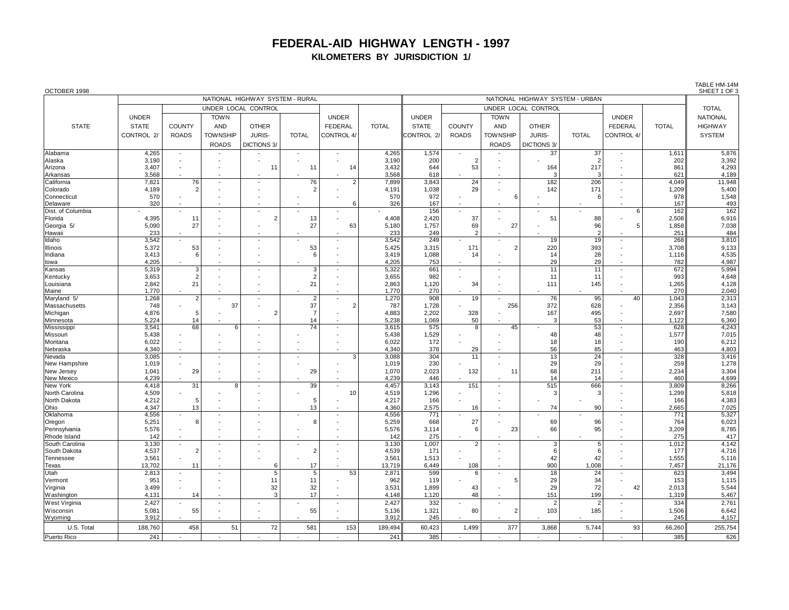## **FEDERAL-AID HIGHWAY LENGTH - 1997 KILOMETERS BY JURISDICTION 1/**

| OCTOBER 1998                |                                 |                                |                 |                          |                          |                                |                |                |                                 |                 |                |                |                                 |                | IABLE HM-14M<br>SHEET 1 OF 3 |  |
|-----------------------------|---------------------------------|--------------------------------|-----------------|--------------------------|--------------------------|--------------------------------|----------------|----------------|---------------------------------|-----------------|----------------|----------------|---------------------------------|----------------|------------------------------|--|
|                             | NATIONAL HIGHWAY SYSTEM - RURAL |                                |                 |                          |                          |                                |                |                | NATIONAL HIGHWAY SYSTEM - URBAN |                 |                |                |                                 |                |                              |  |
|                             | UNDER LOCAL CONTROL             |                                |                 |                          |                          |                                |                |                | UNDER LOCAL CONTROL             |                 |                |                |                                 |                |                              |  |
|                             | <b>UNDER</b>                    |                                | <b>TOWN</b>     |                          |                          | <b>UNDER</b>                   |                | <b>UNDER</b>   |                                 | <b>TOWN</b>     |                |                | <b>UNDER</b>                    |                | <b>NATIONAL</b>              |  |
| <b>STATE</b>                | <b>STATE</b>                    | <b>COUNTY</b>                  | AND             | <b>OTHER</b>             |                          | <b>FEDERAL</b>                 | <b>TOTAL</b>   | <b>STATE</b>   | COUNTY                          | AND             | <b>OTHER</b>   |                | <b>FEDERAL</b>                  | <b>TOTAL</b>   | <b>HIGHWAY</b>               |  |
|                             | CONTROL 2/                      | <b>ROADS</b>                   | <b>TOWNSHIP</b> | JURIS-                   | <b>TOTAL</b>             | CONTROL 4/                     |                | CONTROL 2/     | <b>ROADS</b>                    | <b>TOWNSHIP</b> | JURIS-         | <b>TOTAL</b>   | CONTROL 4/                      |                | <b>SYSTEM</b>                |  |
|                             |                                 |                                | <b>ROADS</b>    | <b>DICTIONS 3/</b>       |                          |                                |                |                |                                 | <b>ROADS</b>    | DICTIONS 3/    |                |                                 |                |                              |  |
| Alabama                     | 4,265                           |                                |                 |                          | $\overline{\phantom{a}}$ | $\overline{\phantom{a}}$       | 4,265          | 1,574          |                                 |                 | 37             | 37             | $\overline{\phantom{m}}$        | 1,611          | 5,876                        |  |
| Alaska                      | 3,190                           |                                |                 |                          |                          |                                | 3,190          | 200            | $\overline{2}$                  |                 |                | $\mathcal{P}$  |                                 | 202            | 3,392                        |  |
| Arizona                     | 3,407                           |                                |                 | 11                       | 11                       | 14                             | 3,432          | 644            | 53                              |                 | 164            | 217            |                                 | 861            | 4,293                        |  |
| Arkansas                    | 3,568                           |                                |                 |                          |                          |                                | 3,568          | 618            |                                 |                 | 3              |                |                                 | 621            | 4,189                        |  |
| California                  | 7,821                           | 76<br>$\overline{2}$           | ٠               | $\overline{\phantom{a}}$ | 76<br>2                  | $\overline{2}$                 | 7,899          | 3,843          | $\overline{24}$                 |                 | 182            | 206            | $\overline{\phantom{a}}$        | 4,049          | 11,948                       |  |
| Colorado<br>Connecticut     | 4,189<br>570                    |                                |                 |                          |                          |                                | 4,191<br>570   | 1,038<br>972   | 29                              | 6               | 142            | 171            |                                 | 1,209<br>978   | 5,400<br>1,548               |  |
| Delaware                    | 320                             |                                |                 |                          |                          | 6                              | 326            | 167            |                                 |                 |                |                |                                 | 167            | 493                          |  |
| Dist. of Columbia           |                                 |                                |                 | ÷,                       |                          |                                |                | 156            |                                 |                 |                |                | 6                               | 162            | 162                          |  |
| Florida                     | 4,395                           | 11                             |                 | $\overline{2}$           | 13                       |                                | 4,408          | 2,420          | 37                              |                 | 51             | 88             |                                 | 2,508          | 6,916                        |  |
| Georgia 5/                  | 5,090                           | 27                             |                 |                          | 27                       | 63                             | 5,180          | 1,757          | 69                              | 27              |                | 96             | 5                               | 1,858          | 7,038                        |  |
| Hawaii                      | 233                             |                                |                 |                          |                          |                                | 233            | 249            | $\overline{2}$                  |                 |                |                |                                 | 251            | 484                          |  |
| Idaho                       | 3,542                           |                                |                 | ÷,                       |                          | $\sim$                         | 3,542          | 249            |                                 |                 | 19             | 19             | $\overline{\phantom{a}}$        | 268            | 3,810                        |  |
| Illinois<br>Indiana         | 5,372<br>3,413                  | 53<br>6                        |                 | ÷,<br>÷                  | 53<br>6                  | ÷,<br>$\overline{\phantom{a}}$ | 5,425<br>3,419 | 3,315<br>1,088 | 171<br>14                       | $\overline{2}$  | 220<br>14      | 393<br>28      | ÷,<br>$\overline{a}$            | 3,708<br>1,116 | 9,133<br>4,535               |  |
| lowa                        | 4,205                           |                                |                 |                          |                          |                                | 4,205          | 753            |                                 |                 | 29             | 29             |                                 | 782            | 4,987                        |  |
| Kansas                      | 5,319                           | $\overline{3}$                 |                 |                          | 3                        | ÷,                             | 5,322          | 661            | $\sim$                          |                 | 11             | 11             | $\overline{\phantom{a}}$        | 672            | 5,994                        |  |
| Kentucky                    | 3,653                           | $\overline{2}$                 |                 |                          | 2                        |                                | 3,655          | 982            |                                 |                 | 11             | 11             | ÷                               | 993            | 4,648                        |  |
| Louisiana                   | 2,842                           | 21                             |                 |                          | 21                       |                                | 2,863          | 1,120          | 34                              |                 | 111            | 145            |                                 | 1,265          | 4,128                        |  |
| Maine                       | 1,770                           |                                |                 |                          |                          |                                | 1,770          | 270            |                                 |                 |                |                |                                 | 270            | 2,040                        |  |
| Maryland 5/                 | 1,268                           | $\overline{2}$                 |                 | ÷,                       | $\overline{2}$           | $\overline{a}$                 | 1,270          | 908            | 19                              |                 | 76             | 95             | 40                              | 1,043          | 2,313                        |  |
| Massachusetts<br>Michigan   | 748<br>4,876                    | 5                              | 37              | $\overline{2}$           | 37<br>$\overline{7}$     | $\overline{2}$                 | 787<br>4,883   | 1,728<br>2,202 | 328                             | 256             | 372<br>167     | 628<br>495     | ÷                               | 2,356<br>2,697 | 3,143<br>7,580               |  |
| Minnesota                   | 5,224                           | 14                             |                 |                          | 14                       |                                | 5,238          | 1,069          | 50                              |                 | 3              | 53             | $\overline{a}$                  | 1,122          | 6,360                        |  |
| Mississippi                 | 3,541                           | 68                             | 6               |                          | 74                       |                                | 3,615          | 575            | 8                               | 45              |                | 53             | ÷,                              | 628            | 4,243                        |  |
| Missouri                    | 5,438                           |                                |                 |                          |                          |                                | 5,438          | 1,529          |                                 |                 | 48             | 48             |                                 | 1,577          | 7,015                        |  |
| Montana                     | 6,022                           |                                |                 |                          |                          |                                | 6,022          | 172            |                                 |                 | 18             | 18             | ÷                               | 190            | 6,212                        |  |
| Nebraska                    | 4,340                           | ٠.                             |                 |                          |                          | $\blacksquare$                 | 4,340          | 378            | 29                              |                 | 56             | 85             | $\overline{\phantom{a}}$        | 463            | 4,803                        |  |
| Nevada                      | 3,085                           | $\sim$                         |                 |                          |                          | 3                              | 3,088          | 304<br>230     | 11                              |                 | 13<br>29       | 24<br>29       | $\overline{a}$                  | 328            | 3,416<br>1,278               |  |
| New Hampshire<br>New Jersey | 1,019<br>1,041                  | $\overline{\phantom{a}}$<br>29 |                 |                          | 29                       |                                | 1,019<br>1,070 | 2,023          | 132                             | 11              | 68             | 211            | ÷,<br>÷                         | 259<br>2,234   | 3,304                        |  |
| New Mexico                  | 4,239                           |                                |                 |                          |                          |                                | 4,239          | 446            |                                 |                 | 14             | 14             | $\overline{a}$                  | 460            | 4,699                        |  |
| New York                    | 4,418                           | 31                             | 8               |                          | 39                       | $\blacksquare$                 | 4,457          | 3,143          | 151                             |                 | 515            | 666            | $\centering \label{eq:reduced}$ | 3,809          | 8,266                        |  |
| North Carolina              | 4,509                           |                                |                 |                          |                          | 10                             | 4,519          | 1,296          |                                 |                 | 3              | 3              |                                 | 1,299          | 5,818                        |  |
| North Dakota                | 4,212                           | 5                              |                 |                          | 5                        |                                | 4,217          | 166            |                                 |                 |                |                | ÷                               | 166            | 4,383                        |  |
| Ohio                        | 4,347                           | 13                             |                 |                          | 13                       |                                | 4,360          | 2,575          | 16                              |                 | 74             | 90             | ٠.                              | 2,665          | 7,025                        |  |
| Oklahoma                    | 4,556<br>5,251                  | 8                              |                 |                          | 8                        |                                | 4,556<br>5,259 | 771<br>668     | 27                              |                 | 69             | 96             | ÷<br>÷,                         | 771<br>764     | 5,327<br>6,023               |  |
| Oregon<br>Pennsylvania      | 5,576                           |                                |                 |                          |                          |                                | 5,576          | 3,114          | 6                               | 23              | 66             | 95             |                                 | 3,209          | 8,785                        |  |
| Rhode Island                | 142                             |                                |                 |                          |                          |                                | 142            | 275            |                                 |                 |                |                |                                 | 275            | 417                          |  |
| South Carolina              | 3,130                           | $\overline{\phantom{a}}$       |                 | $\blacksquare$           |                          | $\overline{\phantom{a}}$       | 3,130          | 1,007          | $\overline{2}$                  |                 | $\overline{3}$ | $\overline{5}$ | $\overline{\phantom{a}}$        | 1,012          | 4,142                        |  |
| South Dakota                | 4,537                           | $\overline{2}$                 |                 |                          | 2                        |                                | 4,539          | 171            |                                 |                 | 6              | 6              |                                 | 177            | 4,716                        |  |
| Tennessee                   | 3,561                           |                                |                 |                          |                          |                                | 3,561          | 1,513          |                                 |                 | 42             | 42             |                                 | 1,555          | 5,116                        |  |
| Texas                       | 13,702                          | 11                             |                 | 6                        | 17                       | $\overline{\phantom{a}}$       | 13,719         | 6,449          | 108                             |                 | 900            | 1,008          | $\overline{\phantom{a}}$<br>÷   | 7,457          | 21,176                       |  |
| Utah<br>Vermont             | 2,813<br>951                    |                                |                 | 5<br>11                  | 5<br>11                  | 53                             | 2,871<br>962   | 599<br>119     | 6                               | 5               | 18<br>29       | 24<br>34       |                                 | 623<br>153     | 3,494<br>1,115               |  |
| Virginia                    | 3,499                           |                                |                 | 32                       | 32                       |                                | 3,531          | 1,899          | 43                              |                 | 29             | 72             | 42                              | 2,013          | 5,544                        |  |
| Washington                  | 4,131                           | 14                             |                 | 3                        | 17                       |                                | 4.148          | 1,120          | 48                              |                 | 151            | 199            |                                 | 1,319          | 5,467                        |  |
| West Virginia               | 2,427                           |                                |                 | $\blacksquare$           | $\overline{a}$           | $\overline{\phantom{a}}$       | 2,427          | 332            |                                 |                 | $\overline{2}$ | $\overline{2}$ | $\overline{\phantom{a}}$        | 334            | 2,761                        |  |
| Wisconsin                   | 5,081                           | 55                             |                 |                          | 55                       | $\overline{\phantom{a}}$       | 5,136          | 1,321          | 80                              | $\overline{2}$  | 103            | 185            | ÷                               | 1,506          | 6,642                        |  |
| Wyoming                     | 3,912                           |                                |                 |                          |                          |                                | 3.912          | 245            |                                 |                 |                |                |                                 | 245            | 4,157                        |  |
| U.S. Total                  | 188,760                         | 458                            | 51              | 72                       | 581                      | 153                            | 189,494        | 60,423         | 1,499                           | 377             | 3,868          | 5,744          | 93                              | 66,260         | 255,754                      |  |
| Puerto Rico                 | 241                             |                                |                 |                          |                          |                                | 241            | 385            |                                 |                 |                |                |                                 | 385            | 626                          |  |

TABLE HM-14M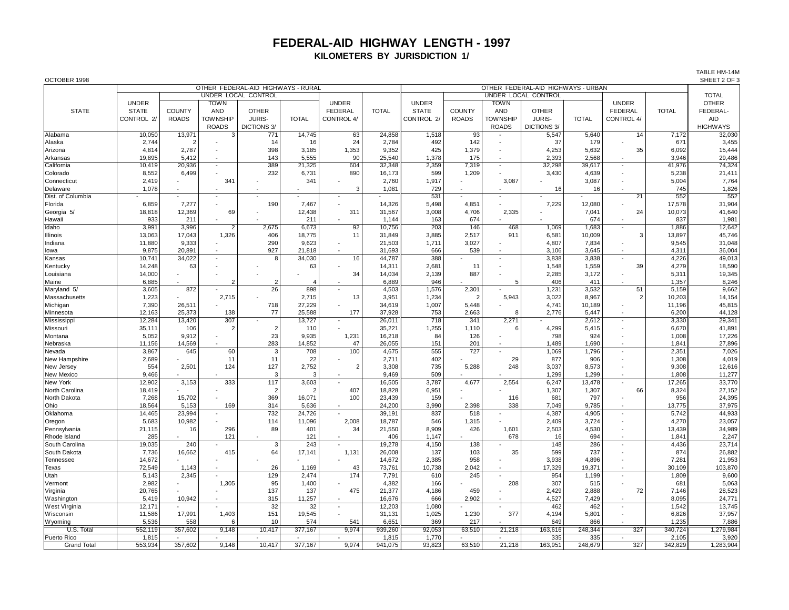## **FEDERAL-AID HIGHWAY LENGTH - 1997 KILOMETERS BY JURISDICTION 1/**

TABLE HM-14M

| OCTOBER 1998       |              |                |                          |                                    |                          |                          |              |                                    |                     |                             |               |              |                          |              | SHEET 2 OF 3    |
|--------------------|--------------|----------------|--------------------------|------------------------------------|--------------------------|--------------------------|--------------|------------------------------------|---------------------|-----------------------------|---------------|--------------|--------------------------|--------------|-----------------|
|                    |              |                |                          | OTHER FEDERAL-AID HIGHWAYS - RURAL |                          |                          |              | OTHER FEDERAL-AID HIGHWAYS - URBAN |                     |                             |               |              |                          |              |                 |
|                    |              |                |                          | UNDER LOCAL CONTROL                |                          |                          |              |                                    | UNDER LOCAL CONTROL |                             |               |              |                          |              | <b>TOTAL</b>    |
|                    | <b>UNDER</b> |                | <b>TOWN</b>              |                                    |                          | <b>UNDER</b>             |              | <b>UNDER</b>                       |                     | <b>TOWN</b>                 |               |              | <b>UNDER</b>             |              | <b>OTHER</b>    |
| <b>STATE</b>       | <b>STATE</b> | <b>COUNTY</b>  | <b>AND</b>               | <b>OTHER</b>                       |                          | FEDERAL                  | <b>TOTAL</b> | <b>STATE</b>                       | <b>COUNTY</b>       | <b>AND</b>                  | <b>OTHER</b>  |              | <b>FEDERAL</b>           | <b>TOTAL</b> | FEDERAL-        |
|                    | CONTROL 2/   | <b>ROADS</b>   | <b>TOWNSHIP</b>          | JURIS-                             | <b>TOTAL</b>             | CONTROL 4/               |              | CONTROL 2/                         | <b>ROADS</b>        | <b>TOWNSHIP</b>             | <b>JURIS-</b> | <b>TOTAL</b> | CONTROL 4/               |              | <b>AID</b>      |
|                    |              |                | <b>ROADS</b>             | DICTIONS 3/                        |                          |                          |              |                                    |                     | <b>ROADS</b>                | DICTIONS 3/   |              |                          |              | <b>HIGHWAYS</b> |
| Alabama            | 10,050       | 13,971         | 3                        | 771                                | 14,745                   | 63                       | 24,858       | 1,518                              | 93                  |                             | 5,547         | 5,640        | 14                       | 7,172        | 32,030          |
| Alaska             | 2,744        | $\overline{2}$ |                          | 14                                 | 16                       | 24                       | 2.784        | 492                                | 142                 |                             | 37            | 179          |                          | 671          | 3,455           |
| Arizona            | 4,814        | 2.787          | $\overline{\phantom{a}}$ | 398                                | 3,185                    | 1,353                    | 9,352        | 425                                | 1,379               |                             | 4,253         | 5,632        | 35                       | 6,092        | 15,444          |
| Arkansas           | 19,895       | 5,412          | $\overline{\phantom{a}}$ | 143                                | 5,555                    | 90                       | 25,540       | 1,378                              | 175                 |                             | 2,393         | 2,568        |                          | 3,946        | 29,486          |
| California         | 10,419       | 20,936         | $\sim$                   | 389                                | 21,325                   | 604                      | 32,348       | 2,359                              | 7,319               |                             | 32,298        | 39,617       | $\overline{a}$           | 41,976       | 74,324          |
| Colorado           | 8,552        | 6,499          |                          | 232                                | 6,731                    | 890                      | 16,173       | 599                                | 1,209               |                             | 3,430         | 4,639        |                          | 5,238        | 21,411          |
|                    | 2,419        |                | 34 <sup>°</sup>          |                                    | 341                      |                          |              |                                    |                     | 3,087                       |               | 3,087        |                          | 5,004        | 7,764           |
| Connecticut        |              |                |                          |                                    |                          | 3                        | 2,760        | 1,917                              |                     |                             |               |              |                          |              |                 |
| Delaware           | 1,078        |                |                          |                                    |                          |                          | 1,081        | 729                                |                     |                             | 16            | 16           |                          | 745          | 1,826           |
| Dist. of Columbia  |              |                | $\blacksquare$           |                                    |                          |                          |              | 531                                |                     |                             |               |              | 21                       | 552          | 552             |
| Florida            | 6,859        | 7,277          |                          | 190                                | 7,467                    |                          | 14,326       | 5,498                              | 4,851               |                             | 7.229         | 12,080       |                          | 17,578       | 31,904          |
| Georgia 5/         | 18.818       | 12.369         | 69                       |                                    | 12,438                   | 311                      | 31.567       | 3.008                              | 4,706               | 2,335                       |               | 7.041        | 24                       | 10,073       | 41.640          |
| Hawaii             | 933          | 211            |                          |                                    | 211                      |                          | 1,144        | 163                                | 674                 |                             |               | 674          |                          | 837          | 1,981           |
| Idaho              | 3,991        | 3,996          | $\overline{2}$           | 2,675                              | 6,673                    | 92                       | 10,756       | 203                                | 146                 | 468                         | 1,069         | 1,683        | ÷,                       | 1,886        | 12,642          |
| Illinois           | 13,063       | 17,043         | 1,326                    | 406                                | 18,775                   | 11                       | 31,849       | 3,885                              | 2,517               | 911                         | 6,581         | 10,009       | 3                        | 13,897       | 45,746          |
| Indiana            | 11,880       | 9,333          | $\overline{a}$           | 290                                | 9,623                    |                          | 21,503       | 1,711                              | 3,027               |                             | 4,807         | 7,834        | ÷,                       | 9,545        | 31,048          |
| lowa               | 9,875        | 20,891         | ÷,                       | 927                                | 21,818                   |                          | 31,693       | 666                                | 539                 |                             | 3,106         | 3,645        |                          | 4,311        | 36,004          |
| Kansas             | 10,741       | 34,022         | $\overline{\phantom{a}}$ | 8                                  | 34,030                   | 16                       | 44,787       | 388                                |                     |                             | 3,838         | 3,838        | $\overline{\phantom{a}}$ | 4,226        | 49,013          |
| Kentucky           | 14,248       | 63             |                          |                                    | 63                       |                          | 14,311       | 2,681                              | 11                  |                             | 1,548         | 1,559        | 39                       | 4,279        | 18,590          |
| Louisiana          | 14,000       |                |                          |                                    |                          | 34                       | 14,034       | 2,139                              | 887                 |                             | 2,285         | 3.172        |                          | 5,311        | 19,345          |
| Maine              | 6,885        |                | 2                        | $\mathcal{P}$                      | $\Delta$                 |                          | 6,889        | 946                                |                     | 5                           | 406           | 411          |                          | 1,357        | 8,246           |
| Maryland 5/        | 3,605        | 872            |                          | 26                                 | 898                      |                          | 4,503        | 1,576                              | 2,301               |                             | 1,231         | 3,532        | 51                       | 5,159        | 9,662           |
| Massachusetts      | 1,223        |                | 2,715                    |                                    | 2,715                    | 13                       | 3,951        | 1,234                              | 2                   | 5,943                       | 3,022         | 8,967        | $\overline{2}$           | 10,203       | 14,154          |
| Michigan           | 7,390        | 26,511         |                          | 718                                | 27,229                   |                          | 34,619       | 1,007                              | 5,448               |                             | 4,741         | 10,189       | ÷,                       | 11,196       | 45,815          |
| Minnesota          | 12,163       | 25,373         | 138                      | 77                                 | 25,588                   | 177                      | 37,928       | 753                                | 2,663               | 8                           | 2,776         | 5,447        | ÷,                       | 6,200        | 44,128          |
| Mississippi        | 12,284       | 13,420         | 307                      |                                    | 13,727                   | $\overline{\phantom{a}}$ | 26,011       | 718                                | 341                 | 2,271                       |               | 2,612        | $\blacksquare$           | 3,330        | 29,341          |
| Missouri           | 35,111       | 106            | $\overline{2}$           | $\overline{2}$                     | 110                      |                          | 35,221       | 1,255                              | 1,110               | 6                           | 4,299         | 5,415        | $\overline{\phantom{a}}$ | 6,670        | 41,891          |
| Montana            | 5,052        | 9,912          |                          | 23                                 | 9,935                    | 1,231                    | 16,218       | 84                                 | 126                 |                             | 798           | 924          | $\overline{a}$           | 1,008        | 17,226          |
| Nebraska           | 11,156       | 14,569         |                          | 283                                | 14,852                   | 47                       | 26,055       | 151                                | 201                 | $\sim$                      | 1,489         | 1,690        | $\sim$                   | 1,841        | 27,896          |
| Nevada             | 3,867        | 645            | 60                       | 3                                  | 708                      | 100                      | 4,675        | 555                                | 727                 |                             | 1,069         | 1,796        | $\overline{a}$           | 2,351        | 7,026           |
| New Hampshire      | 2,689        |                | 11                       | 11                                 | 22                       |                          | 2,711        | 402                                |                     | 29                          | 877           | 906          |                          | 1,308        | 4,019           |
| New Jersey         | 554          | 2,501          | 124                      | 127                                | 2,752                    | $\overline{2}$           | 3,308        | 735                                | 5,288               | 248                         | 3.037         | 8.573        |                          | 9,308        | 12,616          |
| New Mexico         | 9.466        |                |                          | 3                                  | 3                        |                          | 9,469        | 509                                |                     |                             | 1.299         | 1.299        |                          | 1.808        | 11,277          |
|                    | 12,902       | 3,153          | 333                      | 117                                | 3,603                    |                          | 16,505       | 3,787                              | 4,677               | 2,554                       | 6.247         | 13.478       | ÷,                       | 17,265       | 33,770          |
| New York           |              |                |                          |                                    |                          |                          |              |                                    |                     |                             |               |              |                          |              |                 |
| North Carolina     | 18,419       |                |                          | $\overline{2}$                     | 2                        | 407                      | 18,828       | 6.951                              |                     |                             | 1,307         | 1,307        | 66                       | 8,324        | 27,152          |
| North Dakota       | 7,268        | 15,702         |                          | 369                                | 16,071                   | 100                      | 23,439       | 159                                |                     | 116                         | 681           | 797          |                          | 956          | 24,395          |
| Ohio               | 18,564       | 5,153          | 169                      | 314                                | 5,636                    |                          | 24,200       | 3,990                              | 2,398               | 338                         | 7,049         | 9,785        | $\overline{a}$           | 13,775       | 37,975          |
| Oklahoma           | 14,465       | 23,994         | $\overline{\phantom{a}}$ | 732                                | 24,726                   |                          | 39,191       | 837                                | 518                 |                             | 4,387         | 4,905        | $\overline{\phantom{a}}$ | 5,742        | 44,933          |
| Oregon             | 5,683        | 10,982         |                          | 114                                | 11,096                   | 2,008                    | 18,787       | 546                                | 1,315               |                             | 2,409         | 3,724        |                          | 4,270        | 23,057          |
| Pennsylvania       | 21,115       | 16             | 296                      | 89                                 | 401                      | 34                       | 21,550       | 8,909                              | 426                 | 1,601                       | 2,503         | 4,530        | ÷,                       | 13,439       | 34,989          |
| Rhode Island       | 285          |                | 121                      |                                    | 121                      |                          | 406          | 1,147                              |                     | 678                         | 16            | 694          |                          | 1,841        | 2,247           |
| South Carolina     | 19,035       | 240            |                          | 3                                  | 243                      |                          | 19,278       | 4,150                              | 138                 |                             | 148           | 286          | $\overline{\phantom{a}}$ | 4,436        | 23,714          |
| South Dakota       | 7,736        | 16,662         | 415                      | 64                                 | 17,141                   | 1,131                    | 26,008       | 137                                | 103                 | 35                          | 599           | 737          |                          | 874          | 26,882          |
| Tennessee          | 14,672       |                |                          |                                    |                          |                          | 14,672       | 2,385                              | 958                 |                             | 3,938         | 4,896        |                          | 7,281        | 21,953          |
| Texas              | 72,549       | 1,143          | $\overline{a}$           | 26                                 | 1,169                    | 43                       | 73,761       | 10,738                             | 2,042               |                             | 17,329        | 19,371       | $\overline{a}$           | 30,109       | 103,870         |
| Utah               | 5,143        | 2,345          |                          | 129                                | 2,474                    | 174                      | 7,791        | 610                                | 245                 |                             | 954           | 1,199        | ÷,                       | 1,809        | 9,600           |
| Vermont            | 2,982        |                | 1,305                    | 95                                 | 1,400                    |                          | 4,382        | 166                                |                     | 208                         | 307           | 515          |                          | 681          | 5,063           |
| Virginia           | 20,765       |                |                          | 137                                | 137                      | 475                      | 21,377       | 4,186                              | 459                 |                             | 2,429         | 2,888        | 72                       | 7,146        | 28,523          |
| Washington         | 5,419        | 10,942         | $\overline{\phantom{a}}$ | 315                                | 11,257                   | $\overline{\phantom{a}}$ | 16,676       | 666                                | 2,902               |                             | 4,527         | 7,429        |                          | 8,095        | 24,771          |
| West Virginia      | 12,171       |                |                          | 32                                 | 32                       | $\overline{\phantom{a}}$ | 12,203       | 1,080                              |                     |                             | 462           | 462          | $\sim$                   | 1,542        | 13,745          |
| Wisconsin          | 11,586       | 17,991         | 1,403                    | 151                                | 19,545                   |                          | 31,131       | 1,025                              | 1,230               | 377                         | 4.194         | 5.801        | $\overline{a}$           | 6,826        | 37,957          |
| Wyoming            | 5,536        | 558            | 6                        | 10                                 | 574                      | 541                      | 6,651        | 369                                | 217                 |                             | 649           | 866          |                          | 1,235        | 7,886           |
| U.S. Total         | 552,119      | 357,602        | 9,148                    | 10,417                             | 377,167                  | 9,974                    | 939,260      | 92,053                             | 63,510              | 21,218                      | 163,616       | 248,344      | 327                      | 340,724      | 1,279,984       |
| Puerto Rico        | 1,815        |                |                          | $\sim$                             | $\overline{\phantom{a}}$ |                          | 1,815        | 1,770                              | $\mathbf{r}$        | $\mathcal{L}_{\mathcal{A}}$ | 335           | 335          | $\sim$                   | 2,105        | 3,920           |
| <b>Grand Total</b> | 553,934      | 357,602        | 9,148                    | 10,417                             | 377,167                  | 9,974                    | 941,075      | 93,823                             | 63,510              | 21,218                      | 163,951       | 248,679      | 327                      | 342,829      | 1,283,904       |
|                    |              |                |                          |                                    |                          |                          |              |                                    |                     |                             |               |              |                          |              |                 |